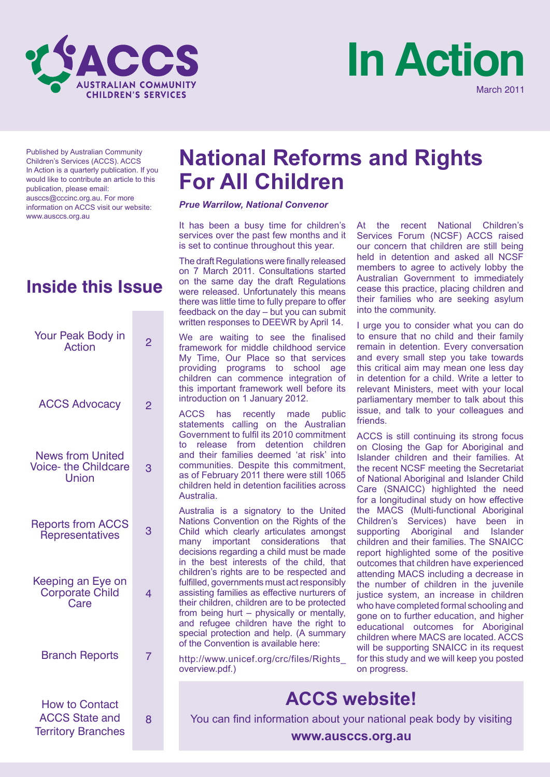



Published by Australian Community Children's Services (ACCS). ACCS In Action is a quarterly publication. If you would like to contribute an article to this publication, please email: ausccs@cccinc.org.au. For more information on ACCS visit our website: www.ausccs.org.au

## **Inside this Issue**

| Your Peak Body in<br><b>Action</b>                                          | 2              |
|-----------------------------------------------------------------------------|----------------|
| <b>ACCS Advocacy</b>                                                        | $\overline{2}$ |
| <b>News from United</b><br><b>Voice- the Childcare</b><br>Union             | 3              |
| <b>Reports from ACCS</b><br>Representatives                                 | 3              |
| Keeping an Eye on<br>Corporate Child<br>Care                                | 4              |
| <b>Branch Reports</b>                                                       | 7              |
| <b>How to Contact</b><br><b>ACCS State and</b><br><b>Territory Branches</b> | 8              |

## **National Reforms and Rights For All Children**

#### *Prue Warrilow, National Convenor*

It has been a busy time for children's services over the past few months and it is set to continue throughout this year.

The draft Regulations were finally released on 7 March 2011. Consultations started on the same day the draft Regulations were released. Unfortunately this means there was little time to fully prepare to offer feedback on the day – but you can submit written responses to DEEWR by April 14.

We are waiting to see the finalised framework for middle childhood service My Time, Our Place so that services providing programs to school age children can commence integration of this important framework well before its introduction on 1 January 2012.

ACCS has recently made public statements calling on the Australian Government to fulfil its 2010 commitment to release from detention children and their families deemed 'at risk' into communities. Despite this commitment, as of February 2011 there were still 1065 children held in detention facilities across Australia.

Australia is a signatory to the United Nations Convention on the Rights of the Child which clearly articulates amongst many important considerations that decisions regarding a child must be made in the best interests of the child, that children's rights are to be respected and fulfilled, governments must act responsibly assisting families as effective nurturers of their children, children are to be protected from being hurt – physically or mentally, and refugee children have the right to special protection and help. (A summary of the Convention is available here:

http://www.unicef.org/crc/files/Rights\_ overview.pdf.)

At the recent National Children's Services Forum (NCSF) ACCS raised our concern that children are still being held in detention and asked all NCSF members to agree to actively lobby the Australian Government to immediately cease this practice, placing children and their families who are seeking asylum into the community.

I urge you to consider what you can do to ensure that no child and their family remain in detention. Every conversation and every small step you take towards this critical aim may mean one less day in detention for a child. Write a letter to relevant Ministers, meet with your local parliamentary member to talk about this issue, and talk to your colleagues and friends.

ACCS is still continuing its strong focus on Closing the Gap for Aboriginal and Islander children and their families. At the recent NCSF meeting the Secretariat of National Aboriginal and Islander Child Care (SNAICC) highlighted the need for a longitudinal study on how effective the MACS (Multi-functional Aboriginal Children's Services) have been in supporting Aboriginal and Islander children and their families. The SNAICC report highlighted some of the positive outcomes that children have experienced attending MACS including a decrease in the number of children in the juvenile justice system, an increase in children who have completed formal schooling and gone on to further education, and higher educational outcomes for Aboriginal children where MACS are located. ACCS will be supporting SNAICC in its request for this study and we will keep you posted on progress.

## **ACCS website!**

You can find information about your national peak body by visiting

**www.ausccs.org.au**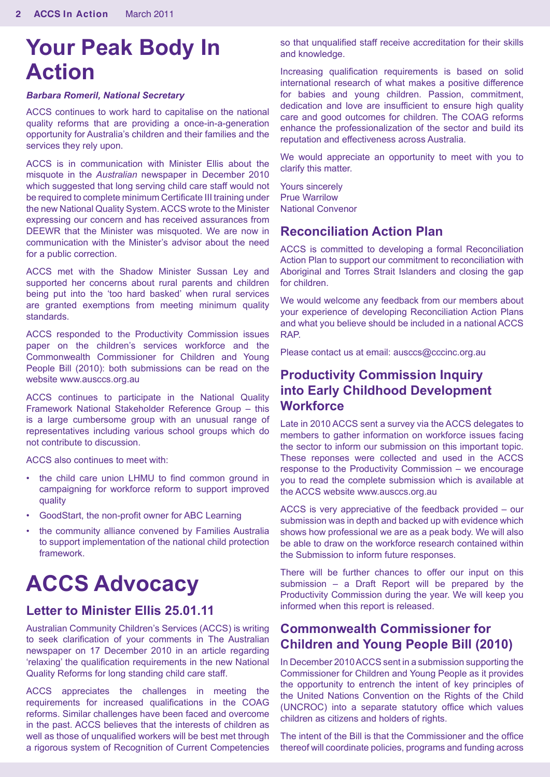# **Your Peak Body In Action**

#### *Barbara Romeril, National Secretary*

ACCS continues to work hard to capitalise on the national quality reforms that are providing a once-in-a-generation opportunity for Australia's children and their families and the services they rely upon.

ACCS is in communication with Minister Ellis about the misquote in the *Australian* newspaper in December 2010 which suggested that long serving child care staff would not be required to complete minimum Certificate III training under the new National Quality System. ACCS wrote to the Minister expressing our concern and has received assurances from DEEWR that the Minister was misquoted. We are now in communication with the Minister's advisor about the need for a public correction.

ACCS met with the Shadow Minister Sussan Ley and supported her concerns about rural parents and children being put into the 'too hard basked' when rural services are granted exemptions from meeting minimum quality standards.

ACCS responded to the Productivity Commission issues paper on the children's services workforce and the Commonwealth Commissioner for Children and Young People Bill (2010): both submissions can be read on the website www.ausccs.org.au

ACCS continues to participate in the National Quality Framework National Stakeholder Reference Group – this is a large cumbersome group with an unusual range of representatives including various school groups which do not contribute to discussion.

ACCS also continues to meet with:

- the child care union LHMU to find common ground in campaigning for workforce reform to support improved quality
- GoodStart, the non-profit owner for ABC Learning
- the community alliance convened by Families Australia to support implementation of the national child protection framework.

# **ACCS Advocacy**

### **Letter to Minister Ellis 25.01.11**

Australian Community Children's Services (ACCS) is writing to seek clarification of your comments in The Australian newspaper on 17 December 2010 in an article regarding 'relaxing' the qualification requirements in the new National Quality Reforms for long standing child care staff.

ACCS appreciates the challenges in meeting the requirements for increased qualifications in the COAG reforms. Similar challenges have been faced and overcome in the past. ACCS believes that the interests of children as well as those of unqualified workers will be best met through a rigorous system of Recognition of Current Competencies

so that unqualified staff receive accreditation for their skills and knowledge.

Increasing qualification requirements is based on solid international research of what makes a positive difference for babies and young children. Passion, commitment, dedication and love are insufficient to ensure high quality care and good outcomes for children. The COAG reforms enhance the professionalization of the sector and build its reputation and effectiveness across Australia.

We would appreciate an opportunity to meet with you to clarify this matter.

Yours sincerely Prue Warrilow National Convenor

## **Reconciliation Action Plan**

ACCS is committed to developing a formal Reconciliation Action Plan to support our commitment to reconciliation with Aboriginal and Torres Strait Islanders and closing the gap for children.

We would welcome any feedback from our members about your experience of developing Reconciliation Action Plans and what you believe should be included in a national ACCS RAP.

Please contact us at email: ausccs@cccinc.org.au

## **Productivity Commission Inquiry into Early Childhood Development Workforce**

Late in 2010 ACCS sent a survey via the ACCS delegates to members to gather information on workforce issues facing the sector to inform our submission on this important topic. These reponses were collected and used in the ACCS response to the Productivity Commission – we encourage you to read the complete submission which is available at the ACCS website www.ausccs.org.au

ACCS is very appreciative of the feedback provided – our submission was in depth and backed up with evidence which shows how professional we are as a peak body. We will also be able to draw on the workforce research contained within the Submission to inform future responses.

There will be further chances to offer our input on this submission – a Draft Report will be prepared by the Productivity Commission during the year. We will keep you informed when this report is released.

## **Commonwealth Commissioner for Children and Young People Bill (2010)**

In December 2010 ACCS sent in a submission supporting the Commissioner for Children and Young People as it provides the opportunity to entrench the intent of key principles of the United Nations Convention on the Rights of the Child (UNCROC) into a separate statutory office which values children as citizens and holders of rights.

The intent of the Bill is that the Commissioner and the office thereof will coordinate policies, programs and funding across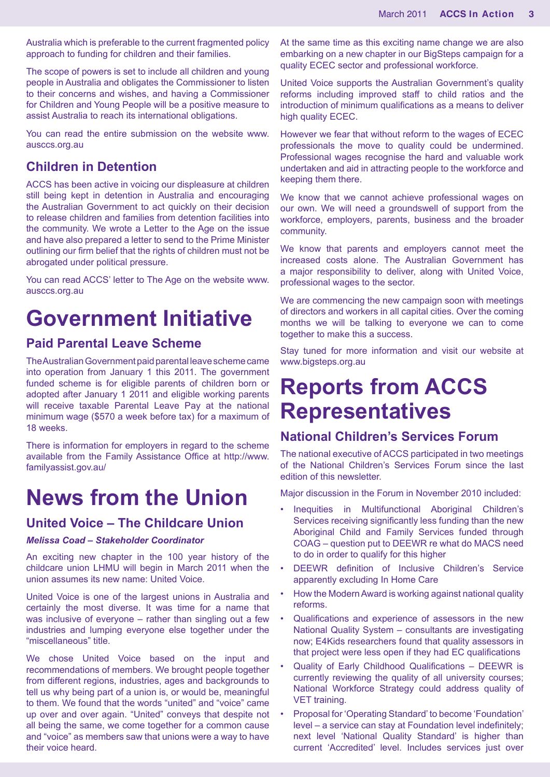Australia which is preferable to the current fragmented policy approach to funding for children and their families.

The scope of powers is set to include all children and young people in Australia and obligates the Commissioner to listen to their concerns and wishes, and having a Commissioner for Children and Young People will be a positive measure to assist Australia to reach its international obligations.

You can read the entire submission on the website www. ausccs.org.au

## **Children in Detention**

ACCS has been active in voicing our displeasure at children still being kept in detention in Australia and encouraging the Australian Government to act quickly on their decision to release children and families from detention facilities into the community. We wrote a Letter to the Age on the issue and have also prepared a letter to send to the Prime Minister outlining our firm belief that the rights of children must not be abrogated under political pressure.

You can read ACCS' letter to The Age on the website www. ausccs.org.au

## **Government Initiative**

## **Paid Parental Leave Scheme**

The Australian Government paid parental leave scheme came into operation from January 1 this 2011. The government funded scheme is for eligible parents of children born or adopted after January 1 2011 and eligible working parents will receive taxable Parental Leave Pay at the national minimum wage (\$570 a week before tax) for a maximum of 18 weeks.

There is information for employers in regard to the scheme available from the Family Assistance Office at http://www. familyassist.gov.au/

## **News from the Union**

## **United Voice – The Childcare Union**

#### *Melissa Coad – Stakeholder Coordinator*

An exciting new chapter in the 100 year history of the childcare union LHMU will begin in March 2011 when the union assumes its new name: United Voice.

United Voice is one of the largest unions in Australia and certainly the most diverse. It was time for a name that was inclusive of everyone – rather than singling out a few industries and lumping everyone else together under the "miscellaneous" title.

We chose United Voice based on the input and recommendations of members. We brought people together from different regions, industries, ages and backgrounds to tell us why being part of a union is, or would be, meaningful to them. We found that the words "united" and "voice" came up over and over again. "United" conveys that despite not all being the same, we come together for a common cause and "voice" as members saw that unions were a way to have their voice heard.

At the same time as this exciting name change we are also embarking on a new chapter in our BigSteps campaign for a quality ECEC sector and professional workforce.

United Voice supports the Australian Government's quality reforms including improved staff to child ratios and the introduction of minimum qualifications as a means to deliver high quality ECEC.

However we fear that without reform to the wages of ECEC professionals the move to quality could be undermined. Professional wages recognise the hard and valuable work undertaken and aid in attracting people to the workforce and keeping them there.

We know that we cannot achieve professional wages on our own. We will need a groundswell of support from the workforce, employers, parents, business and the broader community.

We know that parents and employers cannot meet the increased costs alone. The Australian Government has a major responsibility to deliver, along with United Voice, professional wages to the sector.

We are commencing the new campaign soon with meetings of directors and workers in all capital cities. Over the coming months we will be talking to everyone we can to come together to make this a success.

Stay tuned for more information and visit our website at www.bigsteps.org.au

## **Reports from ACCS Representatives**

## **National Children's Services Forum**

The national executive of ACCS participated in two meetings of the National Children's Services Forum since the last edition of this newsletter.

Major discussion in the Forum in November 2010 included:

- Inequities in Multifunctional Aboriginal Children's Services receiving significantly less funding than the new Aboriginal Child and Family Services funded through COAG – question put to DEEWR re what do MACS need to do in order to qualify for this higher
- DEEWR definition of Inclusive Children's Service apparently excluding In Home Care
- How the Modern Award is working against national quality reforms.
- Qualifications and experience of assessors in the new National Quality System – consultants are investigating now; E4Kids researchers found that quality assessors in that project were less open if they had EC qualifications
- Quality of Early Childhood Qualifications DEEWR is currently reviewing the quality of all university courses; National Workforce Strategy could address quality of VET training.
- Proposal for 'Operating Standard' to become 'Foundation' level – a service can stay at Foundation level indefinitely; next level 'National Quality Standard' is higher than current 'Accredited' level. Includes services just over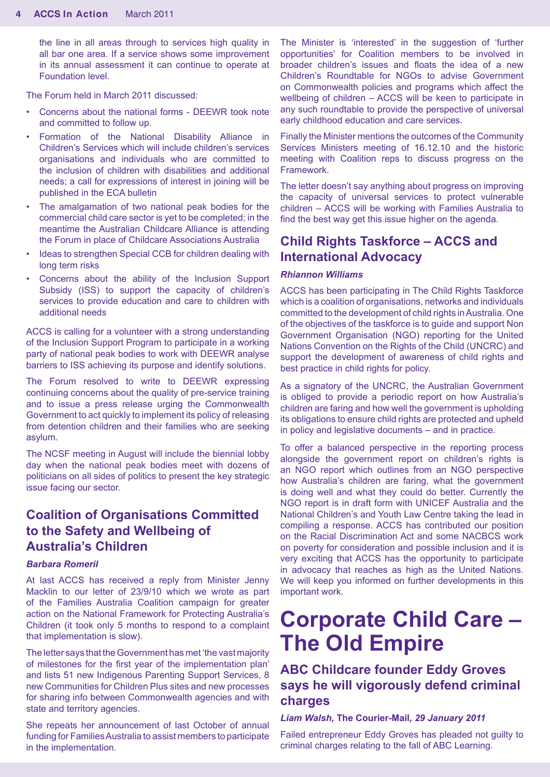the line in all areas through to services high quality in all bar one area. If a service shows some improvement in its annual assessment it can continue to operate at Foundation level.

The Forum held in March 2011 discussed:

- Concerns about the national forms DEEWR took note and committed to follow up.
- Formation of the National Disability Alliance in Children's Services which will include children's services organisations and individuals who are committed to the inclusion of children with disabilities and additional needs; a call for expressions of interest in joining will be published in the ECA bulletin
- The amalgamation of two national peak bodies for the commercial child care sector is yet to be completed; in the meantime the Australian Childcare Alliance is attending the Forum in place of Childcare Associations Australia
- Ideas to strengthen Special CCB for children dealing with long term risks
- Concerns about the ability of the Inclusion Support Subsidy (ISS) to support the capacity of children's services to provide education and care to children with additional needs

ACCS is calling for a volunteer with a strong understanding of the Inclusion Support Program to participate in a working party of national peak bodies to work with DEEWR analyse barriers to ISS achieving its purpose and identify solutions.

The Forum resolved to write to DEEWR expressing continuing concerns about the quality of pre-service training and to issue a press release urging the Commonwealth Government to act quickly to implement its policy of releasing from detention children and their families who are seeking asylum.

The NCSF meeting in August will include the biennial lobby day when the national peak bodies meet with dozens of politicians on all sides of politics to present the key strategic issue facing our sector.

## **Coalition of Organisations Committed to the Safety and Wellbeing of Australia's Children**

#### *Barbara Romeril*

At last ACCS has received a reply from Minister Jenny Macklin to our letter of 23/9/10 which we wrote as part of the Families Australia Coalition campaign for greater action on the National Framework for Protecting Australia's Children (it took only 5 months to respond to a complaint that implementation is slow).

The letter says that the Government has met 'the vast majority of milestones for the first year of the implementation plan' and lists 51 new Indigenous Parenting Support Services, 8 new Communities for Children Plus sites and new processes for sharing info between Commonwealth agencies and with state and territory agencies.

She repeats her announcement of last October of annual funding for Families Australia to assist members to participate in the implementation.

The Minister is 'interested' in the suggestion of 'further opportunities' for Coalition members to be involved in broader children's issues and floats the idea of a new Children's Roundtable for NGOs to advise Government on Commonwealth policies and programs which affect the wellbeing of children – ACCS will be keen to participate in any such roundtable to provide the perspective of universal early childhood education and care services.

Finally the Minister mentions the outcomes of the Community Services Ministers meeting of 16.12.10 and the historic meeting with Coalition reps to discuss progress on the Framework.

The letter doesn't say anything about progress on improving the capacity of universal services to protect vulnerable children – ACCS will be working with Families Australia to find the best way get this issue higher on the agenda.

## **Child Rights Taskforce – ACCS and International Advocacy**

#### *Rhiannon Williams*

ACCS has been participating in The Child Rights Taskforce which is a coalition of organisations, networks and individuals committed to the development of child rights in Australia. One of the objectives of the taskforce is to guide and support Non Government Organisation (NGO) reporting for the United Nations Convention on the Rights of the Child (UNCRC) and support the development of awareness of child rights and best practice in child rights for policy.

As a signatory of the UNCRC, the Australian Government is obliged to provide a periodic report on how Australia's children are faring and how well the government is upholding its obligations to ensure child rights are protected and upheld in policy and legislative documents – and in practice.

To offer a balanced perspective in the reporting process alongside the government report on children's rights is an NGO report which outlines from an NGO perspective how Australia's children are faring, what the government is doing well and what they could do better. Currently the NGO report is in draft form with UNICEF Australia and the National Children's and Youth Law Centre taking the lead in compiling a response. ACCS has contributed our position on the Racial Discrimination Act and some NACBCS work on poverty for consideration and possible inclusion and it is very exciting that ACCS has the opportunity to participate in advocacy that reaches as high as the United Nations. We will keep you informed on further developments in this important work.

## **Corporate Child Care – The Old Empire**

## **ABC Childcare founder Eddy Groves says he will vigorously defend criminal charges**

#### *Liam Walsh,* **The Courier-Mail***, 29 January 2011*

Failed entrepreneur Eddy Groves has pleaded not guilty to criminal charges relating to the fall of ABC Learning.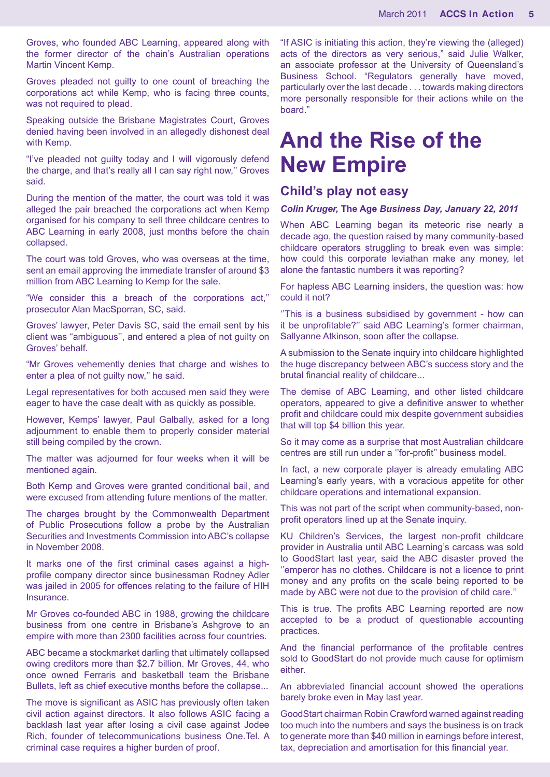Groves, who founded ABC Learning, appeared along with the former director of the chain's Australian operations Martin Vincent Kemp.

Groves pleaded not guilty to one count of breaching the corporations act while Kemp, who is facing three counts, was not required to plead.

Speaking outside the Brisbane Magistrates Court, Groves denied having been involved in an allegedly dishonest deal with Kemp.

"I've pleaded not guilty today and I will vigorously defend the charge, and that's really all I can say right now,'' Groves said.

During the mention of the matter, the court was told it was alleged the pair breached the corporations act when Kemp organised for his company to sell three childcare centres to ABC Learning in early 2008, just months before the chain collapsed.

The court was told Groves, who was overseas at the time, sent an email approving the immediate transfer of around \$3 million from ABC Learning to Kemp for the sale.

"We consider this a breach of the corporations act,'' prosecutor Alan MacSporran, SC, said.

Groves' lawyer, Peter Davis SC, said the email sent by his client was "ambiguous'', and entered a plea of not guilty on Groves' behalf.

"Mr Groves vehemently denies that charge and wishes to enter a plea of not guilty now,'' he said.

Legal representatives for both accused men said they were eager to have the case dealt with as quickly as possible.

However, Kemps' lawyer, Paul Galbally, asked for a long adjournment to enable them to properly consider material still being compiled by the crown.

The matter was adjourned for four weeks when it will be mentioned again.

Both Kemp and Groves were granted conditional bail, and were excused from attending future mentions of the matter.

The charges brought by the Commonwealth Department of Public Prosecutions follow a probe by the Australian Securities and Investments Commission into ABC's collapse in November 2008.

It marks one of the first criminal cases against a highprofile company director since businessman Rodney Adler was jailed in 2005 for offences relating to the failure of HIH Insurance.

Mr Groves co-founded ABC in 1988, growing the childcare business from one centre in Brisbane's Ashgrove to an empire with more than 2300 facilities across four countries.

ABC became a stockmarket darling that ultimately collapsed owing creditors more than \$2.7 billion. Mr Groves, 44, who once owned Ferraris and basketball team the Brisbane Bullets, left as chief executive months before the collapse...

The move is significant as ASIC has previously often taken civil action against directors. It also follows ASIC facing a backlash last year after losing a civil case against Jodee Rich, founder of telecommunications business One.Tel. A criminal case requires a higher burden of proof.

"If ASIC is initiating this action, they're viewing the (alleged) acts of the directors as very serious," said Julie Walker, an associate professor at the University of Queensland's Business School. "Regulators generally have moved, particularly over the last decade . . . towards making directors more personally responsible for their actions while on the board."

## **And the Rise of the New Empire**

## **Child's play not easy**

#### *Colin Kruger,* **The Age** *Business Day, January 22, 2011*

When ABC Learning began its meteoric rise nearly a decade ago, the question raised by many community-based childcare operators struggling to break even was simple: how could this corporate leviathan make any money, let alone the fantastic numbers it was reporting?

For hapless ABC Learning insiders, the question was: how could it not?

''This is a business subsidised by government - how can it be unprofitable?'' said ABC Learning's former chairman, Sallyanne Atkinson, soon after the collapse.

A submission to the Senate inquiry into childcare highlighted the huge discrepancy between ABC's success story and the brutal financial reality of childcare...

The demise of ABC Learning, and other listed childcare operators, appeared to give a definitive answer to whether profit and childcare could mix despite government subsidies that will top \$4 billion this year.

So it may come as a surprise that most Australian childcare centres are still run under a ''for-profit'' business model.

In fact, a new corporate player is already emulating ABC Learning's early years, with a voracious appetite for other childcare operations and international expansion.

This was not part of the script when community-based, nonprofit operators lined up at the Senate inquiry.

KU Children's Services, the largest non-profit childcare provider in Australia until ABC Learning's carcass was sold to GoodStart last year, said the ABC disaster proved the ''emperor has no clothes. Childcare is not a licence to print money and any profits on the scale being reported to be made by ABC were not due to the provision of child care.''

This is true. The profits ABC Learning reported are now accepted to be a product of questionable accounting practices.

And the financial performance of the profitable centres sold to GoodStart do not provide much cause for optimism either.

An abbreviated financial account showed the operations barely broke even in May last year.

GoodStart chairman Robin Crawford warned against reading too much into the numbers and says the business is on track to generate more than \$40 million in earnings before interest, tax, depreciation and amortisation for this financial year.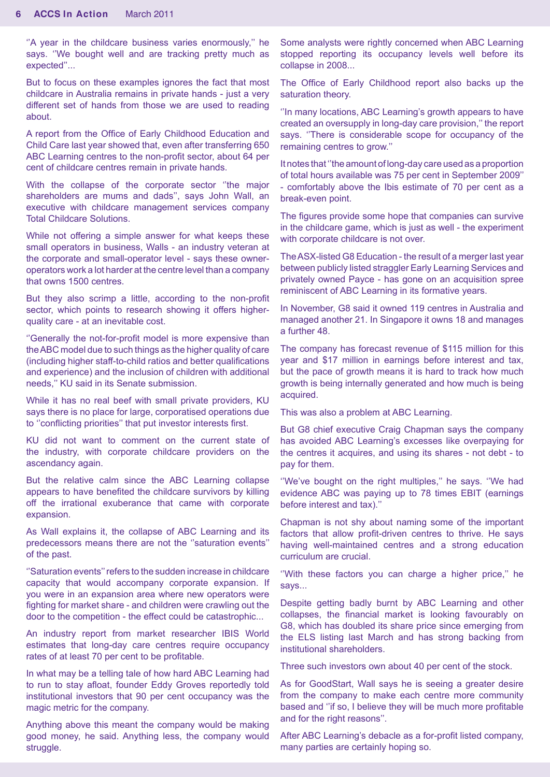''A year in the childcare business varies enormously,'' he says. "We bought well and are tracking pretty much as expected''...

But to focus on these examples ignores the fact that most childcare in Australia remains in private hands - just a very different set of hands from those we are used to reading about.

A report from the Office of Early Childhood Education and Child Care last year showed that, even after transferring 650 ABC Learning centres to the non-profit sector, about 64 per cent of childcare centres remain in private hands.

With the collapse of the corporate sector ''the major shareholders are mums and dads'', says John Wall, an executive with childcare management services company Total Childcare Solutions.

While not offering a simple answer for what keeps these small operators in business, Walls - an industry veteran at the corporate and small-operator level - says these owneroperators work a lot harder at the centre level than a company that owns 1500 centres.

But they also scrimp a little, according to the non-profit sector, which points to research showing it offers higherquality care - at an inevitable cost.

''Generally the not-for-profit model is more expensive than the ABC model due to such things as the higher quality of care (including higher staff-to-child ratios and better qualifications and experience) and the inclusion of children with additional needs,'' KU said in its Senate submission.

While it has no real beef with small private providers, KU says there is no place for large, corporatised operations due to ''conflicting priorities'' that put investor interests first.

KU did not want to comment on the current state of the industry, with corporate childcare providers on the ascendancy again.

But the relative calm since the ABC Learning collapse appears to have benefited the childcare survivors by killing off the irrational exuberance that came with corporate expansion.

As Wall explains it, the collapse of ABC Learning and its predecessors means there are not the ''saturation events'' of the past.

''Saturation events'' refers to the sudden increase in childcare capacity that would accompany corporate expansion. If you were in an expansion area where new operators were fighting for market share - and children were crawling out the door to the competition - the effect could be catastrophic...

An industry report from market researcher IBIS World estimates that long-day care centres require occupancy rates of at least 70 per cent to be profitable.

In what may be a telling tale of how hard ABC Learning had to run to stay afloat, founder Eddy Groves reportedly told institutional investors that 90 per cent occupancy was the magic metric for the company.

Anything above this meant the company would be making good money, he said. Anything less, the company would struggle.

Some analysts were rightly concerned when ABC Learning stopped reporting its occupancy levels well before its collapse in 2008...

The Office of Early Childhood report also backs up the saturation theory.

''In many locations, ABC Learning's growth appears to have created an oversupply in long-day care provision,'' the report says. ''There is considerable scope for occupancy of the remaining centres to grow.''

It notes that ''the amount of long-day care used as a proportion of total hours available was 75 per cent in September 2009'' - comfortably above the Ibis estimate of 70 per cent as a break-even point.

The figures provide some hope that companies can survive in the childcare game, which is just as well - the experiment with corporate childcare is not over.

The ASX-listed G8 Education - the result of a merger last year between publicly listed straggler Early Learning Services and privately owned Payce - has gone on an acquisition spree reminiscent of ABC Learning in its formative years.

In November, G8 said it owned 119 centres in Australia and managed another 21. In Singapore it owns 18 and manages a further 48.

The company has forecast revenue of \$115 million for this year and \$17 million in earnings before interest and tax, but the pace of growth means it is hard to track how much growth is being internally generated and how much is being acquired.

This was also a problem at ABC Learning.

But G8 chief executive Craig Chapman says the company has avoided ABC Learning's excesses like overpaying for the centres it acquires, and using its shares - not debt - to pay for them.

"We've bought on the right multiples," he says. "We had evidence ABC was paying up to 78 times EBIT (earnings before interest and tax).''

Chapman is not shy about naming some of the important factors that allow profit-driven centres to thrive. He says having well-maintained centres and a strong education curriculum are crucial.

''With these factors you can charge a higher price,'' he says...

Despite getting badly burnt by ABC Learning and other collapses, the financial market is looking favourably on G8, which has doubled its share price since emerging from the ELS listing last March and has strong backing from institutional shareholders.

Three such investors own about 40 per cent of the stock.

As for GoodStart, Wall says he is seeing a greater desire from the company to make each centre more community based and ''if so, I believe they will be much more profitable and for the right reasons''.

After ABC Learning's debacle as a for-profit listed company, many parties are certainly hoping so.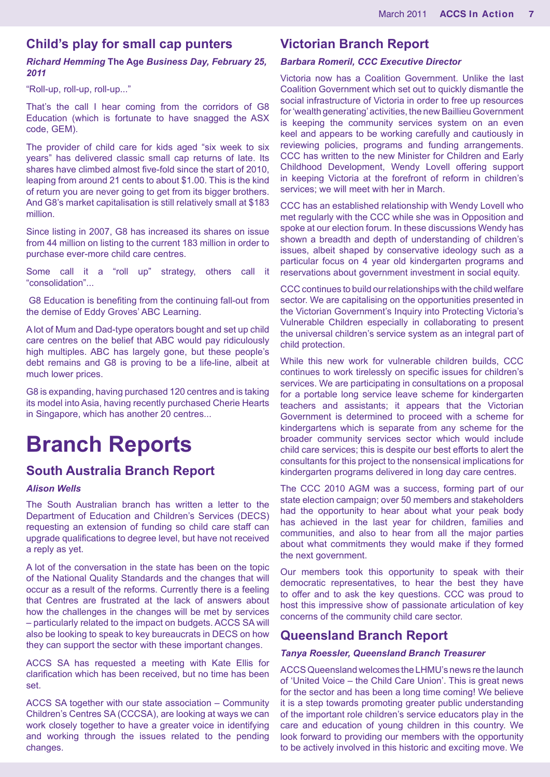## **Child's play for small cap punters**

*Richard Hemming* **The Age** *Business Day, February 25, 2011* 

"Roll-up, roll-up, roll-up..."

That's the call I hear coming from the corridors of G8 Education (which is fortunate to have snagged the ASX code, GEM).

The provider of child care for kids aged "six week to six years" has delivered classic small cap returns of late. Its shares have climbed almost five-fold since the start of 2010, leaping from around 21 cents to about \$1.00. This is the kind of return you are never going to get from its bigger brothers. And G8's market capitalisation is still relatively small at \$183 million.

Since listing in 2007, G8 has increased its shares on issue from 44 million on listing to the current 183 million in order to purchase ever-more child care centres.

Some call it a "roll up" strategy, others call it "consolidation"...

 G8 Education is benefiting from the continuing fall-out from the demise of Eddy Groves' ABC Learning.

A lot of Mum and Dad-type operators bought and set up child care centres on the belief that ABC would pay ridiculously high multiples. ABC has largely gone, but these people's debt remains and G8 is proving to be a life-line, albeit at much lower prices.

G8 is expanding, having purchased 120 centres and is taking its model into Asia, having recently purchased Cherie Hearts in Singapore, which has another 20 centres...

## **Branch Reports**

## **South Australia Branch Report**

#### *Alison Wells*

The South Australian branch has written a letter to the Department of Education and Children's Services (DECS) requesting an extension of funding so child care staff can upgrade qualifications to degree level, but have not received a reply as yet.

A lot of the conversation in the state has been on the topic of the National Quality Standards and the changes that will occur as a result of the reforms. Currently there is a feeling that Centres are frustrated at the lack of answers about how the challenges in the changes will be met by services – particularly related to the impact on budgets. ACCS SA will also be looking to speak to key bureaucrats in DECS on how they can support the sector with these important changes.

ACCS SA has requested a meeting with Kate Ellis for clarification which has been received, but no time has been set.

ACCS SA together with our state association – Community Children's Centres SA (CCCSA), are looking at ways we can work closely together to have a greater voice in identifying and working through the issues related to the pending changes.

### **Victorian Branch Report**

#### *Barbara Romeril, CCC Executive Director*

Victoria now has a Coalition Government. Unlike the last Coalition Government which set out to quickly dismantle the social infrastructure of Victoria in order to free up resources for 'wealth generating' activities, the new Baillieu Government is keeping the community services system on an even keel and appears to be working carefully and cautiously in reviewing policies, programs and funding arrangements. CCC has written to the new Minister for Children and Early Childhood Development, Wendy Lovell offering support in keeping Victoria at the forefront of reform in children's services; we will meet with her in March.

CCC has an established relationship with Wendy Lovell who met regularly with the CCC while she was in Opposition and spoke at our election forum. In these discussions Wendy has shown a breadth and depth of understanding of children's issues, albeit shaped by conservative ideology such as a particular focus on 4 year old kindergarten programs and reservations about government investment in social equity.

CCC continues to build our relationships with the child welfare sector. We are capitalising on the opportunities presented in the Victorian Government's Inquiry into Protecting Victoria's Vulnerable Children especially in collaborating to present the universal children's service system as an integral part of child protection.

While this new work for vulnerable children builds, CCC continues to work tirelessly on specific issues for children's services. We are participating in consultations on a proposal for a portable long service leave scheme for kindergarten teachers and assistants; it appears that the Victorian Government is determined to proceed with a scheme for kindergartens which is separate from any scheme for the broader community services sector which would include child care services; this is despite our best efforts to alert the consultants for this project to the nonsensical implications for kindergarten programs delivered in long day care centres.

The CCC 2010 AGM was a success, forming part of our state election campaign; over 50 members and stakeholders had the opportunity to hear about what your peak body has achieved in the last year for children, families and communities, and also to hear from all the major parties about what commitments they would make if they formed the next government.

Our members took this opportunity to speak with their democratic representatives, to hear the best they have to offer and to ask the key questions. CCC was proud to host this impressive show of passionate articulation of key concerns of the community child care sector.

## **Queensland Branch Report**

#### *Tanya Roessler, Queensland Branch Treasurer*

ACCS Queensland welcomes the LHMU's news re the launch of 'United Voice – the Child Care Union'. This is great news for the sector and has been a long time coming! We believe it is a step towards promoting greater public understanding of the important role children's service educators play in the care and education of young children in this country. We look forward to providing our members with the opportunity to be actively involved in this historic and exciting move. We